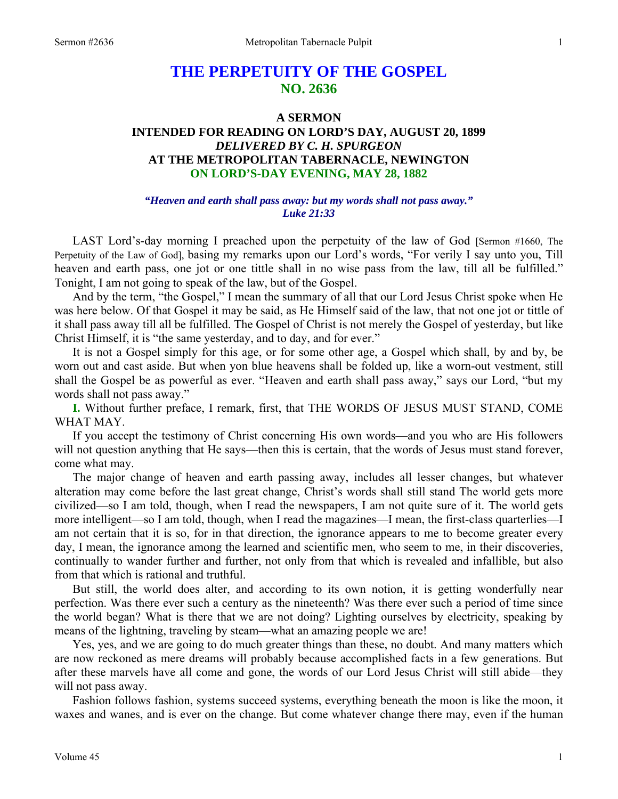# **THE PERPETUITY OF THE GOSPEL NO. 2636**

# **A SERMON INTENDED FOR READING ON LORD'S DAY, AUGUST 20, 1899**  *DELIVERED BY C. H. SPURGEON*  **AT THE METROPOLITAN TABERNACLE, NEWINGTON ON LORD'S-DAY EVENING, MAY 28, 1882**

### *"Heaven and earth shall pass away: but my words shall not pass away." Luke 21:33*

LAST Lord's-day morning I preached upon the perpetuity of the law of God [Sermon #1660, The Perpetuity of the Law of God], basing my remarks upon our Lord's words, "For verily I say unto you, Till heaven and earth pass, one jot or one tittle shall in no wise pass from the law, till all be fulfilled." Tonight, I am not going to speak of the law, but of the Gospel.

 And by the term, "the Gospel," I mean the summary of all that our Lord Jesus Christ spoke when He was here below. Of that Gospel it may be said, as He Himself said of the law, that not one jot or tittle of it shall pass away till all be fulfilled. The Gospel of Christ is not merely the Gospel of yesterday, but like Christ Himself, it is "the same yesterday, and to day, and for ever."

 It is not a Gospel simply for this age, or for some other age, a Gospel which shall, by and by, be worn out and cast aside. But when yon blue heavens shall be folded up, like a worn-out vestment, still shall the Gospel be as powerful as ever. "Heaven and earth shall pass away," says our Lord, "but my words shall not pass away."

**I.** Without further preface, I remark, first, that THE WORDS OF JESUS MUST STAND, COME WHAT MAY.

 If you accept the testimony of Christ concerning His own words—and you who are His followers will not question anything that He says—then this is certain, that the words of Jesus must stand forever, come what may.

 The major change of heaven and earth passing away, includes all lesser changes, but whatever alteration may come before the last great change, Christ's words shall still stand The world gets more civilized—so I am told, though, when I read the newspapers, I am not quite sure of it. The world gets more intelligent—so I am told, though, when I read the magazines—I mean, the first-class quarterlies—I am not certain that it is so, for in that direction, the ignorance appears to me to become greater every day, I mean, the ignorance among the learned and scientific men, who seem to me, in their discoveries, continually to wander further and further, not only from that which is revealed and infallible, but also from that which is rational and truthful.

 But still, the world does alter, and according to its own notion, it is getting wonderfully near perfection. Was there ever such a century as the nineteenth? Was there ever such a period of time since the world began? What is there that we are not doing? Lighting ourselves by electricity, speaking by means of the lightning, traveling by steam—what an amazing people we are!

 Yes, yes, and we are going to do much greater things than these, no doubt. And many matters which are now reckoned as mere dreams will probably because accomplished facts in a few generations. But after these marvels have all come and gone, the words of our Lord Jesus Christ will still abide—they will not pass away.

 Fashion follows fashion, systems succeed systems, everything beneath the moon is like the moon, it waxes and wanes, and is ever on the change. But come whatever change there may, even if the human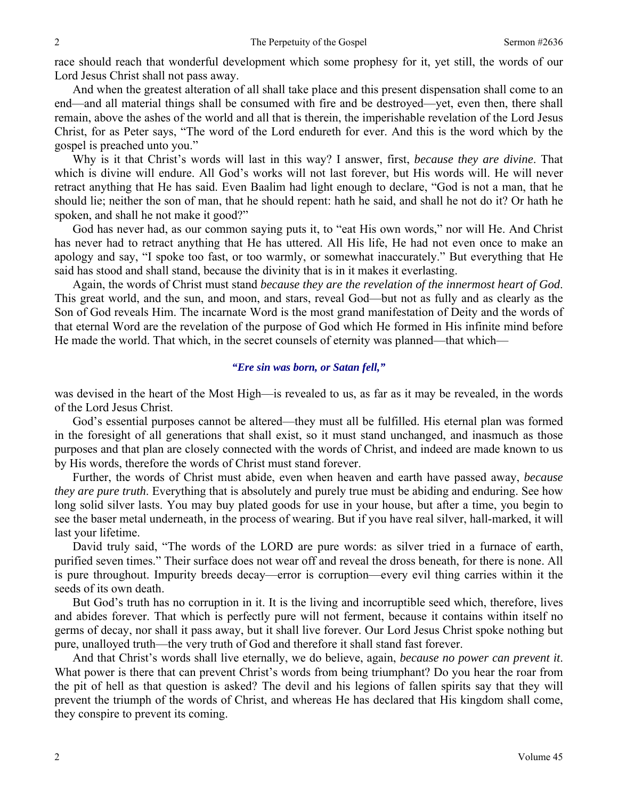race should reach that wonderful development which some prophesy for it, yet still, the words of our Lord Jesus Christ shall not pass away.

 And when the greatest alteration of all shall take place and this present dispensation shall come to an end—and all material things shall be consumed with fire and be destroyed—yet, even then, there shall remain, above the ashes of the world and all that is therein, the imperishable revelation of the Lord Jesus Christ, for as Peter says, "The word of the Lord endureth for ever. And this is the word which by the gospel is preached unto you."

 Why is it that Christ's words will last in this way? I answer, first, *because they are divine*. That which is divine will endure. All God's works will not last forever, but His words will. He will never retract anything that He has said. Even Baalim had light enough to declare, "God is not a man, that he should lie; neither the son of man, that he should repent: hath he said, and shall he not do it? Or hath he spoken, and shall he not make it good?"

 God has never had, as our common saying puts it, to "eat His own words," nor will He. And Christ has never had to retract anything that He has uttered. All His life, He had not even once to make an apology and say, "I spoke too fast, or too warmly, or somewhat inaccurately." But everything that He said has stood and shall stand, because the divinity that is in it makes it everlasting.

 Again, the words of Christ must stand *because they are the revelation of the innermost heart of God*. This great world, and the sun, and moon, and stars, reveal God—but not as fully and as clearly as the Son of God reveals Him. The incarnate Word is the most grand manifestation of Deity and the words of that eternal Word are the revelation of the purpose of God which He formed in His infinite mind before He made the world. That which, in the secret counsels of eternity was planned—that which—

#### *"Ere sin was born, or Satan fell,"*

was devised in the heart of the Most High—is revealed to us, as far as it may be revealed, in the words of the Lord Jesus Christ.

 God's essential purposes cannot be altered—they must all be fulfilled. His eternal plan was formed in the foresight of all generations that shall exist, so it must stand unchanged, and inasmuch as those purposes and that plan are closely connected with the words of Christ, and indeed are made known to us by His words, therefore the words of Christ must stand forever.

 Further, the words of Christ must abide, even when heaven and earth have passed away, *because they are pure truth*. Everything that is absolutely and purely true must be abiding and enduring. See how long solid silver lasts. You may buy plated goods for use in your house, but after a time, you begin to see the baser metal underneath, in the process of wearing. But if you have real silver, hall-marked, it will last your lifetime.

 David truly said, "The words of the LORD are pure words: as silver tried in a furnace of earth, purified seven times." Their surface does not wear off and reveal the dross beneath, for there is none. All is pure throughout. Impurity breeds decay—error is corruption—every evil thing carries within it the seeds of its own death.

 But God's truth has no corruption in it. It is the living and incorruptible seed which, therefore, lives and abides forever. That which is perfectly pure will not ferment, because it contains within itself no germs of decay, nor shall it pass away, but it shall live forever. Our Lord Jesus Christ spoke nothing but pure, unalloyed truth—the very truth of God and therefore it shall stand fast forever.

 And that Christ's words shall live eternally, we do believe, again, *because no power can prevent it*. What power is there that can prevent Christ's words from being triumphant? Do you hear the roar from the pit of hell as that question is asked? The devil and his legions of fallen spirits say that they will prevent the triumph of the words of Christ, and whereas He has declared that His kingdom shall come, they conspire to prevent its coming.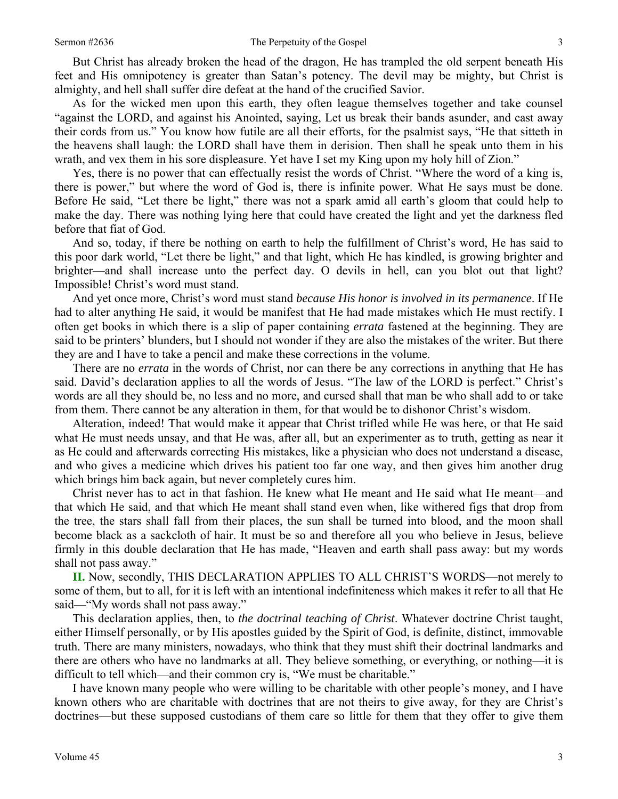But Christ has already broken the head of the dragon, He has trampled the old serpent beneath His feet and His omnipotency is greater than Satan's potency. The devil may be mighty, but Christ is almighty, and hell shall suffer dire defeat at the hand of the crucified Savior.

 As for the wicked men upon this earth, they often league themselves together and take counsel "against the LORD, and against his Anointed, saying, Let us break their bands asunder, and cast away their cords from us." You know how futile are all their efforts, for the psalmist says, "He that sitteth in the heavens shall laugh: the LORD shall have them in derision. Then shall he speak unto them in his wrath, and vex them in his sore displeasure. Yet have I set my King upon my holy hill of Zion."

 Yes, there is no power that can effectually resist the words of Christ. "Where the word of a king is, there is power," but where the word of God is, there is infinite power. What He says must be done. Before He said, "Let there be light," there was not a spark amid all earth's gloom that could help to make the day. There was nothing lying here that could have created the light and yet the darkness fled before that fiat of God.

 And so, today, if there be nothing on earth to help the fulfillment of Christ's word, He has said to this poor dark world, "Let there be light," and that light, which He has kindled, is growing brighter and brighter—and shall increase unto the perfect day. O devils in hell, can you blot out that light? Impossible! Christ's word must stand.

 And yet once more, Christ's word must stand *because His honor is involved in its permanence*. If He had to alter anything He said, it would be manifest that He had made mistakes which He must rectify. I often get books in which there is a slip of paper containing *errata* fastened at the beginning. They are said to be printers' blunders, but I should not wonder if they are also the mistakes of the writer. But there they are and I have to take a pencil and make these corrections in the volume.

 There are no *errata* in the words of Christ, nor can there be any corrections in anything that He has said. David's declaration applies to all the words of Jesus. "The law of the LORD is perfect." Christ's words are all they should be, no less and no more, and cursed shall that man be who shall add to or take from them. There cannot be any alteration in them, for that would be to dishonor Christ's wisdom.

 Alteration, indeed! That would make it appear that Christ trifled while He was here, or that He said what He must needs unsay, and that He was, after all, but an experimenter as to truth, getting as near it as He could and afterwards correcting His mistakes, like a physician who does not understand a disease, and who gives a medicine which drives his patient too far one way, and then gives him another drug which brings him back again, but never completely cures him.

 Christ never has to act in that fashion. He knew what He meant and He said what He meant—and that which He said, and that which He meant shall stand even when, like withered figs that drop from the tree, the stars shall fall from their places, the sun shall be turned into blood, and the moon shall become black as a sackcloth of hair. It must be so and therefore all you who believe in Jesus, believe firmly in this double declaration that He has made, "Heaven and earth shall pass away: but my words shall not pass away."

**II.** Now, secondly, THIS DECLARATION APPLIES TO ALL CHRIST'S WORDS—not merely to some of them, but to all, for it is left with an intentional indefiniteness which makes it refer to all that He said—"My words shall not pass away."

 This declaration applies, then, to *the doctrinal teaching of Christ*. Whatever doctrine Christ taught, either Himself personally, or by His apostles guided by the Spirit of God, is definite, distinct, immovable truth. There are many ministers, nowadays, who think that they must shift their doctrinal landmarks and there are others who have no landmarks at all. They believe something, or everything, or nothing—it is difficult to tell which—and their common cry is, "We must be charitable."

 I have known many people who were willing to be charitable with other people's money, and I have known others who are charitable with doctrines that are not theirs to give away, for they are Christ's doctrines—but these supposed custodians of them care so little for them that they offer to give them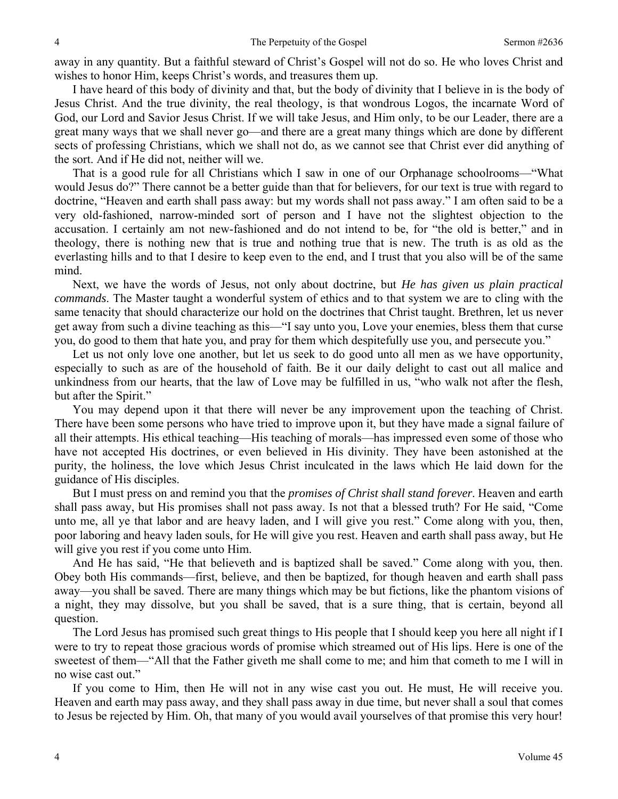away in any quantity. But a faithful steward of Christ's Gospel will not do so. He who loves Christ and wishes to honor Him, keeps Christ's words, and treasures them up.

 I have heard of this body of divinity and that, but the body of divinity that I believe in is the body of Jesus Christ. And the true divinity, the real theology, is that wondrous Logos, the incarnate Word of God, our Lord and Savior Jesus Christ. If we will take Jesus, and Him only, to be our Leader, there are a great many ways that we shall never go—and there are a great many things which are done by different sects of professing Christians, which we shall not do, as we cannot see that Christ ever did anything of the sort. And if He did not, neither will we.

 That is a good rule for all Christians which I saw in one of our Orphanage schoolrooms—"What would Jesus do?" There cannot be a better guide than that for believers, for our text is true with regard to doctrine, "Heaven and earth shall pass away: but my words shall not pass away." I am often said to be a very old-fashioned, narrow-minded sort of person and I have not the slightest objection to the accusation. I certainly am not new-fashioned and do not intend to be, for "the old is better," and in theology, there is nothing new that is true and nothing true that is new. The truth is as old as the everlasting hills and to that I desire to keep even to the end, and I trust that you also will be of the same mind.

 Next, we have the words of Jesus, not only about doctrine, but *He has given us plain practical commands*. The Master taught a wonderful system of ethics and to that system we are to cling with the same tenacity that should characterize our hold on the doctrines that Christ taught. Brethren, let us never get away from such a divine teaching as this—"I say unto you, Love your enemies, bless them that curse you, do good to them that hate you, and pray for them which despitefully use you, and persecute you."

 Let us not only love one another, but let us seek to do good unto all men as we have opportunity, especially to such as are of the household of faith. Be it our daily delight to cast out all malice and unkindness from our hearts, that the law of Love may be fulfilled in us, "who walk not after the flesh, but after the Spirit."

 You may depend upon it that there will never be any improvement upon the teaching of Christ. There have been some persons who have tried to improve upon it, but they have made a signal failure of all their attempts. His ethical teaching—His teaching of morals—has impressed even some of those who have not accepted His doctrines, or even believed in His divinity. They have been astonished at the purity, the holiness, the love which Jesus Christ inculcated in the laws which He laid down for the guidance of His disciples.

 But I must press on and remind you that the *promises of Christ shall stand forever*. Heaven and earth shall pass away, but His promises shall not pass away. Is not that a blessed truth? For He said, "Come unto me, all ye that labor and are heavy laden, and I will give you rest." Come along with you, then, poor laboring and heavy laden souls, for He will give you rest. Heaven and earth shall pass away, but He will give you rest if you come unto Him.

 And He has said, "He that believeth and is baptized shall be saved." Come along with you, then. Obey both His commands—first, believe, and then be baptized, for though heaven and earth shall pass away—you shall be saved. There are many things which may be but fictions, like the phantom visions of a night, they may dissolve, but you shall be saved, that is a sure thing, that is certain, beyond all question.

 The Lord Jesus has promised such great things to His people that I should keep you here all night if I were to try to repeat those gracious words of promise which streamed out of His lips. Here is one of the sweetest of them—"All that the Father giveth me shall come to me; and him that cometh to me I will in no wise cast out."

 If you come to Him, then He will not in any wise cast you out. He must, He will receive you. Heaven and earth may pass away, and they shall pass away in due time, but never shall a soul that comes to Jesus be rejected by Him. Oh, that many of you would avail yourselves of that promise this very hour!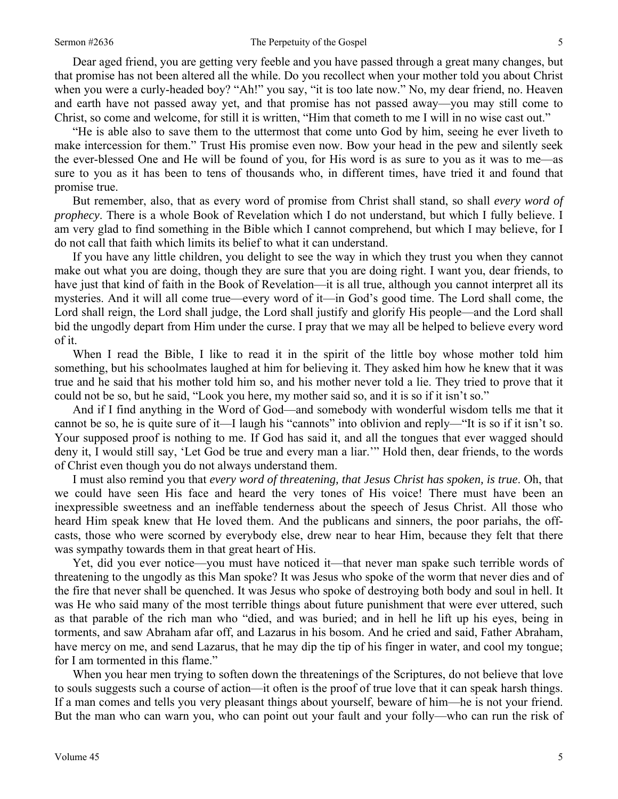Dear aged friend, you are getting very feeble and you have passed through a great many changes, but that promise has not been altered all the while. Do you recollect when your mother told you about Christ when you were a curly-headed boy? "Ah!" you say, "it is too late now." No, my dear friend, no. Heaven and earth have not passed away yet, and that promise has not passed away—you may still come to Christ, so come and welcome, for still it is written, "Him that cometh to me I will in no wise cast out."

 "He is able also to save them to the uttermost that come unto God by him, seeing he ever liveth to make intercession for them." Trust His promise even now. Bow your head in the pew and silently seek the ever-blessed One and He will be found of you, for His word is as sure to you as it was to me—as sure to you as it has been to tens of thousands who, in different times, have tried it and found that promise true.

 But remember, also, that as every word of promise from Christ shall stand, so shall *every word of prophecy*. There is a whole Book of Revelation which I do not understand, but which I fully believe. I am very glad to find something in the Bible which I cannot comprehend, but which I may believe, for I do not call that faith which limits its belief to what it can understand.

 If you have any little children, you delight to see the way in which they trust you when they cannot make out what you are doing, though they are sure that you are doing right. I want you, dear friends, to have just that kind of faith in the Book of Revelation—it is all true, although you cannot interpret all its mysteries. And it will all come true—every word of it—in God's good time. The Lord shall come, the Lord shall reign, the Lord shall judge, the Lord shall justify and glorify His people—and the Lord shall bid the ungodly depart from Him under the curse. I pray that we may all be helped to believe every word of it.

 When I read the Bible, I like to read it in the spirit of the little boy whose mother told him something, but his schoolmates laughed at him for believing it. They asked him how he knew that it was true and he said that his mother told him so, and his mother never told a lie. They tried to prove that it could not be so, but he said, "Look you here, my mother said so, and it is so if it isn't so."

 And if I find anything in the Word of God—and somebody with wonderful wisdom tells me that it cannot be so, he is quite sure of it—I laugh his "cannots" into oblivion and reply—"It is so if it isn't so. Your supposed proof is nothing to me. If God has said it, and all the tongues that ever wagged should deny it, I would still say, 'Let God be true and every man a liar.'" Hold then, dear friends, to the words of Christ even though you do not always understand them.

 I must also remind you that *every word of threatening, that Jesus Christ has spoken, is true*. Oh, that we could have seen His face and heard the very tones of His voice! There must have been an inexpressible sweetness and an ineffable tenderness about the speech of Jesus Christ. All those who heard Him speak knew that He loved them. And the publicans and sinners, the poor pariahs, the offcasts, those who were scorned by everybody else, drew near to hear Him, because they felt that there was sympathy towards them in that great heart of His.

 Yet, did you ever notice—you must have noticed it—that never man spake such terrible words of threatening to the ungodly as this Man spoke? It was Jesus who spoke of the worm that never dies and of the fire that never shall be quenched. It was Jesus who spoke of destroying both body and soul in hell. It was He who said many of the most terrible things about future punishment that were ever uttered, such as that parable of the rich man who "died, and was buried; and in hell he lift up his eyes, being in torments, and saw Abraham afar off, and Lazarus in his bosom. And he cried and said, Father Abraham, have mercy on me, and send Lazarus, that he may dip the tip of his finger in water, and cool my tongue; for I am tormented in this flame."

 When you hear men trying to soften down the threatenings of the Scriptures, do not believe that love to souls suggests such a course of action—it often is the proof of true love that it can speak harsh things. If a man comes and tells you very pleasant things about yourself, beware of him—he is not your friend. But the man who can warn you, who can point out your fault and your folly—who can run the risk of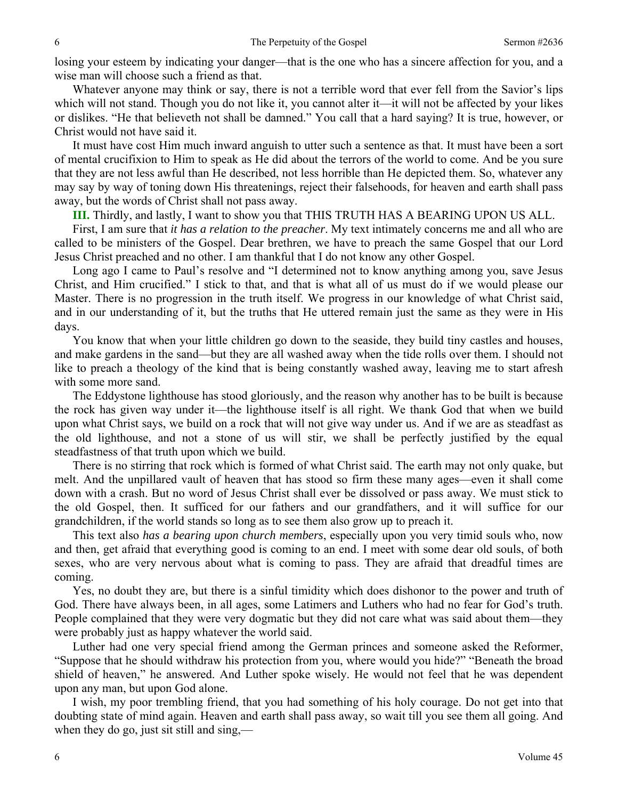losing your esteem by indicating your danger—that is the one who has a sincere affection for you, and a wise man will choose such a friend as that.

 Whatever anyone may think or say, there is not a terrible word that ever fell from the Savior's lips which will not stand. Though you do not like it, you cannot alter it—it will not be affected by your likes or dislikes. "He that believeth not shall be damned." You call that a hard saying? It is true, however, or Christ would not have said it.

 It must have cost Him much inward anguish to utter such a sentence as that. It must have been a sort of mental crucifixion to Him to speak as He did about the terrors of the world to come. And be you sure that they are not less awful than He described, not less horrible than He depicted them. So, whatever any may say by way of toning down His threatenings, reject their falsehoods, for heaven and earth shall pass away, but the words of Christ shall not pass away.

**III.** Thirdly, and lastly, I want to show you that THIS TRUTH HAS A BEARING UPON US ALL.

 First, I am sure that *it has a relation to the preacher*. My text intimately concerns me and all who are called to be ministers of the Gospel. Dear brethren, we have to preach the same Gospel that our Lord Jesus Christ preached and no other. I am thankful that I do not know any other Gospel.

 Long ago I came to Paul's resolve and "I determined not to know anything among you, save Jesus Christ, and Him crucified." I stick to that, and that is what all of us must do if we would please our Master. There is no progression in the truth itself. We progress in our knowledge of what Christ said, and in our understanding of it, but the truths that He uttered remain just the same as they were in His days.

 You know that when your little children go down to the seaside, they build tiny castles and houses, and make gardens in the sand—but they are all washed away when the tide rolls over them. I should not like to preach a theology of the kind that is being constantly washed away, leaving me to start afresh with some more sand.

 The Eddystone lighthouse has stood gloriously, and the reason why another has to be built is because the rock has given way under it—the lighthouse itself is all right. We thank God that when we build upon what Christ says, we build on a rock that will not give way under us. And if we are as steadfast as the old lighthouse, and not a stone of us will stir, we shall be perfectly justified by the equal steadfastness of that truth upon which we build.

 There is no stirring that rock which is formed of what Christ said. The earth may not only quake, but melt. And the unpillared vault of heaven that has stood so firm these many ages—even it shall come down with a crash. But no word of Jesus Christ shall ever be dissolved or pass away. We must stick to the old Gospel, then. It sufficed for our fathers and our grandfathers, and it will suffice for our grandchildren, if the world stands so long as to see them also grow up to preach it.

 This text also *has a bearing upon church members*, especially upon you very timid souls who, now and then, get afraid that everything good is coming to an end. I meet with some dear old souls, of both sexes, who are very nervous about what is coming to pass. They are afraid that dreadful times are coming.

 Yes, no doubt they are, but there is a sinful timidity which does dishonor to the power and truth of God. There have always been, in all ages, some Latimers and Luthers who had no fear for God's truth. People complained that they were very dogmatic but they did not care what was said about them—they were probably just as happy whatever the world said.

 Luther had one very special friend among the German princes and someone asked the Reformer, "Suppose that he should withdraw his protection from you, where would you hide?" "Beneath the broad shield of heaven," he answered. And Luther spoke wisely. He would not feel that he was dependent upon any man, but upon God alone.

 I wish, my poor trembling friend, that you had something of his holy courage. Do not get into that doubting state of mind again. Heaven and earth shall pass away, so wait till you see them all going. And when they do go, just sit still and sing,—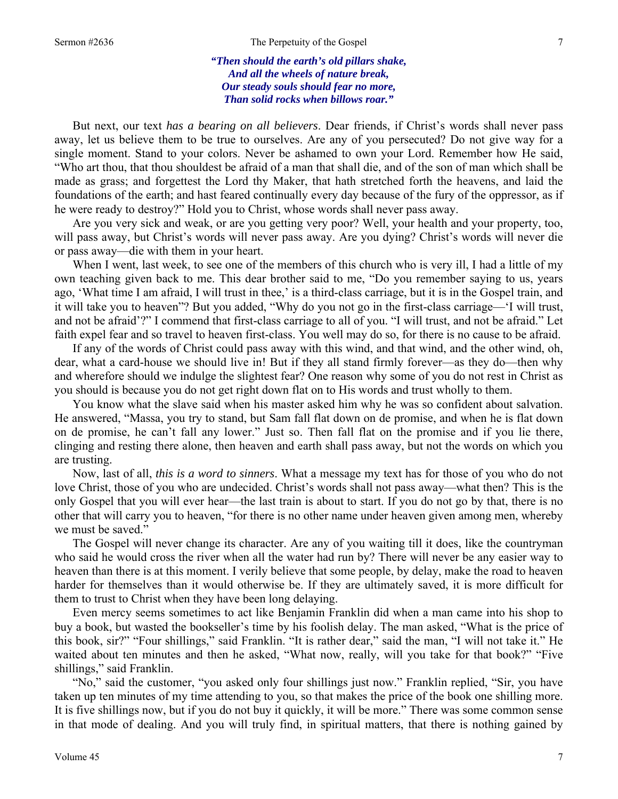#### Sermon #2636 The Perpetuity of the Gospel 7

#### *"Then should the earth's old pillars shake, And all the wheels of nature break, Our steady souls should fear no more, Than solid rocks when billows roar."*

But next, our text *has a bearing on all believers*. Dear friends, if Christ's words shall never pass away, let us believe them to be true to ourselves. Are any of you persecuted? Do not give way for a single moment. Stand to your colors. Never be ashamed to own your Lord. Remember how He said, "Who art thou, that thou shouldest be afraid of a man that shall die, and of the son of man which shall be made as grass; and forgettest the Lord thy Maker, that hath stretched forth the heavens, and laid the foundations of the earth; and hast feared continually every day because of the fury of the oppressor, as if he were ready to destroy?" Hold you to Christ, whose words shall never pass away.

 Are you very sick and weak, or are you getting very poor? Well, your health and your property, too, will pass away, but Christ's words will never pass away. Are you dying? Christ's words will never die or pass away—die with them in your heart.

When I went, last week, to see one of the members of this church who is very ill, I had a little of my own teaching given back to me. This dear brother said to me, "Do you remember saying to us, years ago, 'What time I am afraid, I will trust in thee,' is a third-class carriage, but it is in the Gospel train, and it will take you to heaven"? But you added, "Why do you not go in the first-class carriage—'I will trust, and not be afraid'?" I commend that first-class carriage to all of you. "I will trust, and not be afraid." Let faith expel fear and so travel to heaven first-class. You well may do so, for there is no cause to be afraid.

 If any of the words of Christ could pass away with this wind, and that wind, and the other wind, oh, dear, what a card-house we should live in! But if they all stand firmly forever—as they do—then why and wherefore should we indulge the slightest fear? One reason why some of you do not rest in Christ as you should is because you do not get right down flat on to His words and trust wholly to them.

 You know what the slave said when his master asked him why he was so confident about salvation. He answered, "Massa, you try to stand, but Sam fall flat down on de promise, and when he is flat down on de promise, he can't fall any lower." Just so. Then fall flat on the promise and if you lie there, clinging and resting there alone, then heaven and earth shall pass away, but not the words on which you are trusting.

 Now, last of all, *this is a word to sinners*. What a message my text has for those of you who do not love Christ, those of you who are undecided. Christ's words shall not pass away—what then? This is the only Gospel that you will ever hear—the last train is about to start. If you do not go by that, there is no other that will carry you to heaven, "for there is no other name under heaven given among men, whereby we must be saved."

 The Gospel will never change its character. Are any of you waiting till it does, like the countryman who said he would cross the river when all the water had run by? There will never be any easier way to heaven than there is at this moment. I verily believe that some people, by delay, make the road to heaven harder for themselves than it would otherwise be. If they are ultimately saved, it is more difficult for them to trust to Christ when they have been long delaying.

 Even mercy seems sometimes to act like Benjamin Franklin did when a man came into his shop to buy a book, but wasted the bookseller's time by his foolish delay. The man asked, "What is the price of this book, sir?" "Four shillings," said Franklin. "It is rather dear," said the man, "I will not take it." He waited about ten minutes and then he asked, "What now, really, will you take for that book?" "Five shillings," said Franklin.

 "No," said the customer, "you asked only four shillings just now." Franklin replied, "Sir, you have taken up ten minutes of my time attending to you, so that makes the price of the book one shilling more. It is five shillings now, but if you do not buy it quickly, it will be more." There was some common sense in that mode of dealing. And you will truly find, in spiritual matters, that there is nothing gained by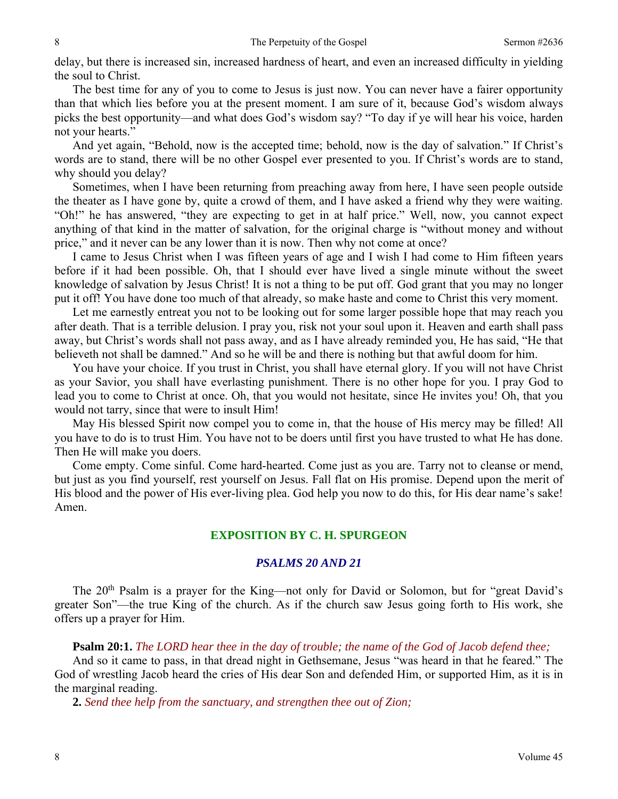delay, but there is increased sin, increased hardness of heart, and even an increased difficulty in yielding the soul to Christ.

 The best time for any of you to come to Jesus is just now. You can never have a fairer opportunity than that which lies before you at the present moment. I am sure of it, because God's wisdom always picks the best opportunity—and what does God's wisdom say? "To day if ye will hear his voice, harden not your hearts."

 And yet again, "Behold, now is the accepted time; behold, now is the day of salvation." If Christ's words are to stand, there will be no other Gospel ever presented to you. If Christ's words are to stand, why should you delay?

 Sometimes, when I have been returning from preaching away from here, I have seen people outside the theater as I have gone by, quite a crowd of them, and I have asked a friend why they were waiting. "Oh!" he has answered, "they are expecting to get in at half price." Well, now, you cannot expect anything of that kind in the matter of salvation, for the original charge is "without money and without price," and it never can be any lower than it is now. Then why not come at once?

 I came to Jesus Christ when I was fifteen years of age and I wish I had come to Him fifteen years before if it had been possible. Oh, that I should ever have lived a single minute without the sweet knowledge of salvation by Jesus Christ! It is not a thing to be put off. God grant that you may no longer put it off! You have done too much of that already, so make haste and come to Christ this very moment.

 Let me earnestly entreat you not to be looking out for some larger possible hope that may reach you after death. That is a terrible delusion. I pray you, risk not your soul upon it. Heaven and earth shall pass away, but Christ's words shall not pass away, and as I have already reminded you, He has said, "He that believeth not shall be damned." And so he will be and there is nothing but that awful doom for him.

 You have your choice. If you trust in Christ, you shall have eternal glory. If you will not have Christ as your Savior, you shall have everlasting punishment. There is no other hope for you. I pray God to lead you to come to Christ at once. Oh, that you would not hesitate, since He invites you! Oh, that you would not tarry, since that were to insult Him!

 May His blessed Spirit now compel you to come in, that the house of His mercy may be filled! All you have to do is to trust Him. You have not to be doers until first you have trusted to what He has done. Then He will make you doers.

 Come empty. Come sinful. Come hard-hearted. Come just as you are. Tarry not to cleanse or mend, but just as you find yourself, rest yourself on Jesus. Fall flat on His promise. Depend upon the merit of His blood and the power of His ever-living plea. God help you now to do this, for His dear name's sake! Amen.

# **EXPOSITION BY C. H. SPURGEON**

# *PSALMS 20 AND 21*

The 20<sup>th</sup> Psalm is a prayer for the King—not only for David or Solomon, but for "great David's greater Son"—the true King of the church. As if the church saw Jesus going forth to His work, she offers up a prayer for Him.

**Psalm 20:1.** *The LORD hear thee in the day of trouble; the name of the God of Jacob defend thee;* 

And so it came to pass, in that dread night in Gethsemane, Jesus "was heard in that he feared." The God of wrestling Jacob heard the cries of His dear Son and defended Him, or supported Him, as it is in the marginal reading.

**2.** *Send thee help from the sanctuary, and strengthen thee out of Zion;*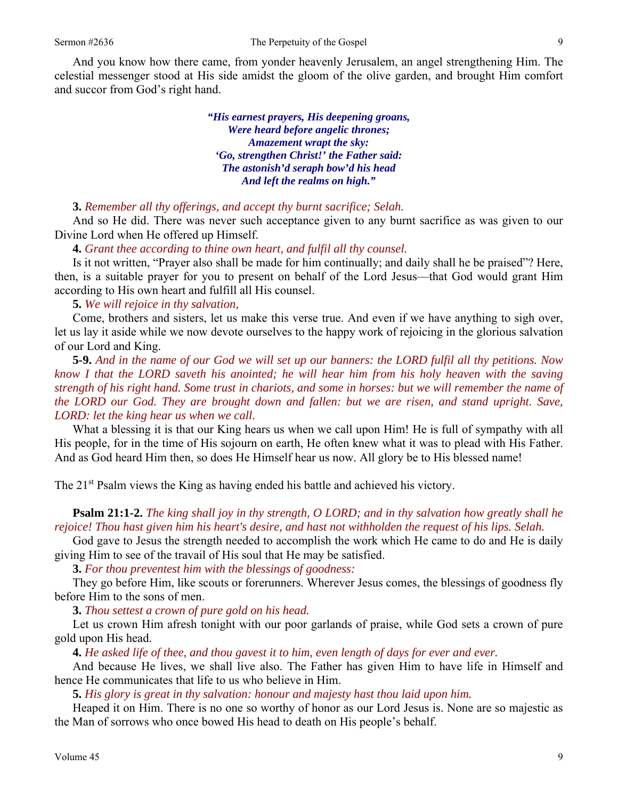And you know how there came, from yonder heavenly Jerusalem, an angel strengthening Him. The celestial messenger stood at His side amidst the gloom of the olive garden, and brought Him comfort and succor from God's right hand.

> *"His earnest prayers, His deepening groans, Were heard before angelic thrones; Amazement wrapt the sky: 'Go, strengthen Christ!' the Father said: The astonish'd seraph bow'd his head And left the realms on high."*

#### **3.** *Remember all thy offerings, and accept thy burnt sacrifice; Selah.*

And so He did. There was never such acceptance given to any burnt sacrifice as was given to our Divine Lord when He offered up Himself.

#### **4.** *Grant thee according to thine own heart, and fulfil all thy counsel.*

Is it not written, "Prayer also shall be made for him continually; and daily shall he be praised"? Here, then, is a suitable prayer for you to present on behalf of the Lord Jesus—that God would grant Him according to His own heart and fulfill all His counsel.

**5.** *We will rejoice in thy salvation,* 

Come, brothers and sisters, let us make this verse true. And even if we have anything to sigh over, let us lay it aside while we now devote ourselves to the happy work of rejoicing in the glorious salvation of our Lord and King.

**5-9.** *And in the name of our God we will set up our banners: the LORD fulfil all thy petitions. Now know I that the LORD saveth his anointed; he will hear him from his holy heaven with the saving strength of his right hand. Some trust in chariots, and some in horses: but we will remember the name of the LORD our God. They are brought down and fallen: but we are risen, and stand upright. Save, LORD: let the king hear us when we call.* 

What a blessing it is that our King hears us when we call upon Him! He is full of sympathy with all His people, for in the time of His sojourn on earth, He often knew what it was to plead with His Father. And as God heard Him then, so does He Himself hear us now. All glory be to His blessed name!

The 21<sup>st</sup> Psalm views the King as having ended his battle and achieved his victory.

**Psalm 21:1-2.** *The king shall joy in thy strength, O LORD; and in thy salvation how greatly shall he rejoice! Thou hast given him his heart's desire, and hast not withholden the request of his lips. Selah.* 

God gave to Jesus the strength needed to accomplish the work which He came to do and He is daily giving Him to see of the travail of His soul that He may be satisfied.

**3.** *For thou preventest him with the blessings of goodness:* 

They go before Him, like scouts or forerunners. Wherever Jesus comes, the blessings of goodness fly before Him to the sons of men.

**3.** *Thou settest a crown of pure gold on his head.* 

Let us crown Him afresh tonight with our poor garlands of praise, while God sets a crown of pure gold upon His head.

**4.** *He asked life of thee, and thou gavest it to him, even length of days for ever and ever.* 

And because He lives, we shall live also. The Father has given Him to have life in Himself and hence He communicates that life to us who believe in Him.

**5.** *His glory is great in thy salvation: honour and majesty hast thou laid upon him.* 

Heaped it on Him. There is no one so worthy of honor as our Lord Jesus is. None are so majestic as the Man of sorrows who once bowed His head to death on His people's behalf.